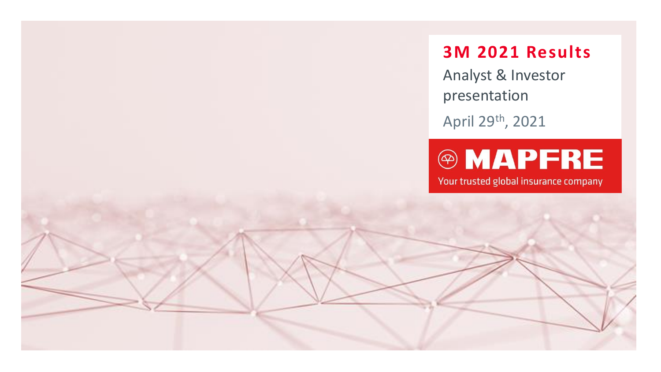**3M 2021 Results**

Analyst & Investor presentation

April 29th, 2021

# **@MAPFRE**

Your trusted global insurance company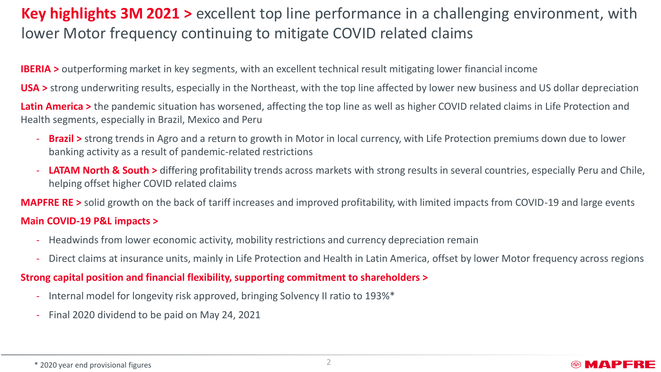## **Key highlights 3M 2021 >** excellent top line performance in a challenging environment, with lower Motor frequency continuing to mitigate COVID related claims

**IBERIA** > outperforming market in key segments, with an excellent technical result mitigating lower financial income

• **USA >** strong underwriting results, especially in the Northeast, with the top line affected by lower new business and US dollar depreciation

Latin America > the pandemic situation has worsened, affecting the top line as well as higher COVID related claims in Life Protection and Health segments, especially in Brazil, Mexico and Peru

- **Brazil >** strong trends in Agro and a return to growth in Motor in local currency, with Life Protection premiums down due to lower banking activity as a result of pandemic-related restrictions
- **LATAM North & South >** differing profitability trends across markets with strong results in several countries, especially Peru and Chile, helping offset higher COVID related claims

**MAPFRE RE >** solid growth on the back of tariff increases and improved profitability, with limited impacts from COVID-19 and large events

#### - **Main COVID-19 P&L impacts >**

- Headwinds from lower economic activity, mobility restrictions and currency depreciation remain
- Direct claims at insurance units, mainly in Life Protection and Health in Latin America, offset by lower Motor frequency across regions

#### • **Strong capital position and financial flexibility, supporting commitment to shareholders >**

- Internal model for longevity risk approved, bringing Solvency II ratio to 193%\*
- Final 2020 dividend to be paid on May 24, 2021

\* 2020 year end provisional figures

### **©MAPFRE**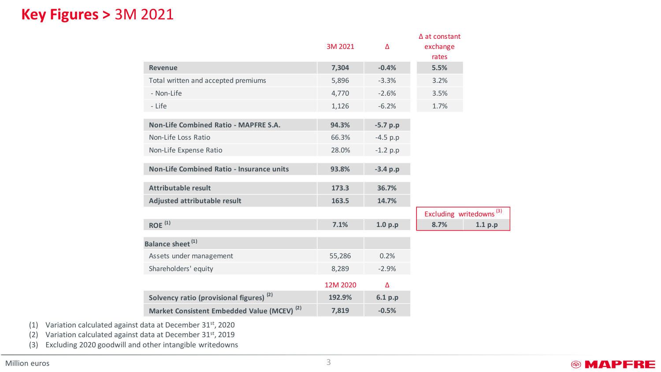### **Key Figures >** 3M 2021

|                                                        |          |            | $\Delta$ at constant                |         |
|--------------------------------------------------------|----------|------------|-------------------------------------|---------|
|                                                        | 3M 2021  | Δ          | exchange                            |         |
|                                                        |          |            | rates                               |         |
| Revenue                                                | 7,304    | $-0.4%$    | 5.5%                                |         |
| Total written and accepted premiums                    | 5,896    | $-3.3%$    | 3.2%                                |         |
| - Non-Life                                             | 4,770    | $-2.6%$    | 3.5%                                |         |
| - Life                                                 | 1,126    | $-6.2%$    | 1.7%                                |         |
| Non-Life Combined Ratio - MAPFRE S.A.                  | 94.3%    | $-5.7 p.p$ |                                     |         |
|                                                        |          |            |                                     |         |
| Non-Life Loss Ratio                                    | 66.3%    | $-4.5 p.p$ |                                     |         |
| Non-Life Expense Ratio                                 | 28.0%    | $-1.2 p.p$ |                                     |         |
| Non-Life Combined Ratio - Insurance units              | 93.8%    | $-3.4 p.p$ |                                     |         |
|                                                        |          |            |                                     |         |
| <b>Attributable result</b>                             | 173.3    | 36.7%      |                                     |         |
| Adjusted attributable result                           | 163.5    | 14.7%      |                                     |         |
|                                                        |          |            | Excluding writedowns <sup>(3)</sup> |         |
| $ROE$ <sup>(1)</sup>                                   | 7.1%     | 1.0 p.p    | 8.7%                                | 1.1 p.p |
| Balance sheet <sup>(1)</sup>                           |          |            |                                     |         |
| Assets under management                                | 55,286   | 0.2%       |                                     |         |
| Shareholders' equity                                   | 8,289    | $-2.9%$    |                                     |         |
|                                                        |          |            |                                     |         |
|                                                        | 12M 2020 | Δ          |                                     |         |
| Solvency ratio (provisional figures) <sup>(2)</sup>    | 192.9%   | 6.1 p.p    |                                     |         |
| Market Consistent Embedded Value (MCEV) <sup>(2)</sup> | 7,819    | $-0.5%$    |                                     |         |

(1) Variation calculated against data at December 31<sup>st</sup>, 2020

(2) Variation calculated against data at December 31st, 2019

(3) Excluding 2020 goodwill and other intangible writedowns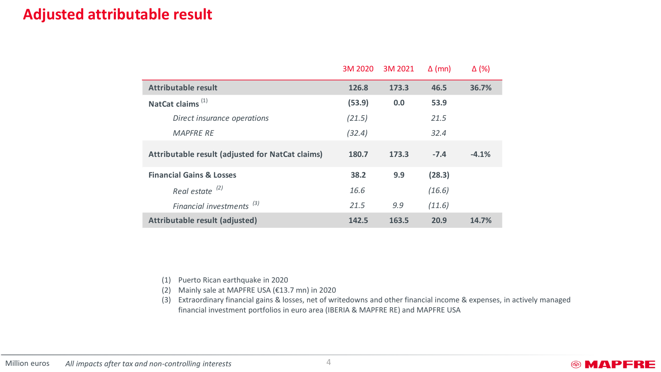### **Adjusted attributable result**

|                                                                                                                                                                                             | 3M 2020 | 3M 2021 | $\Delta$ (mn) | $\Delta$ (%) |  |  |
|---------------------------------------------------------------------------------------------------------------------------------------------------------------------------------------------|---------|---------|---------------|--------------|--|--|
| <b>Attributable result</b>                                                                                                                                                                  | 126.8   | 173.3   | 46.5          | 36.7%        |  |  |
| NatCat claims <sup>(1)</sup>                                                                                                                                                                | (53.9)  | 0.0     | 53.9          |              |  |  |
| Direct insurance operations                                                                                                                                                                 | (21.5)  |         | 21.5          |              |  |  |
| <b>MAPFRE RE</b>                                                                                                                                                                            | (32.4)  |         | 32.4          |              |  |  |
| Attributable result (adjusted for NatCat claims)                                                                                                                                            | 180.7   | 173.3   | $-7.4$        | $-4.1%$      |  |  |
| <b>Financial Gains &amp; Losses</b>                                                                                                                                                         | 38.2    | 9.9     | (28.3)        |              |  |  |
| Real estate <sup>(2)</sup>                                                                                                                                                                  | 16.6    |         | (16.6)        |              |  |  |
| Financial investments <sup>(3)</sup>                                                                                                                                                        | 21.5    | 9.9     | (11.6)        |              |  |  |
| Attributable result (adjusted)                                                                                                                                                              | 142.5   | 163.5   | 20.9          | 14.7%        |  |  |
|                                                                                                                                                                                             |         |         |               |              |  |  |
| Puerto Rican earthquake in 2020<br>(1)<br>Mainly sale at MAPFRE USA (€13.7 mn) in 2020<br>(2)                                                                                               |         |         |               |              |  |  |
| Extraordinary financial gains & losses, net of writedowns and other financial income & expenses,<br>(3)<br>financial investment portfolios in euro area (IBERIA & MAPFRE RE) and MAPFRE USA |         |         |               |              |  |  |

- (2) Mainly sale at MAPFRE USA (€13.7 mn) in 2020
- (3) Extraordinary financial gains & losses, net of writedowns and other financial income & expenses, in actively managed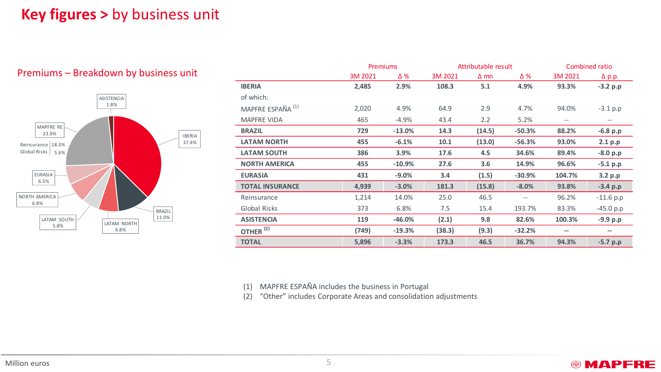### **Key figures >** by business unit

#### Premiums – Breakdown by business unit



|                              | <b>Premiums</b> |          | Attributable result |             |          | Combined ratio |               |
|------------------------------|-----------------|----------|---------------------|-------------|----------|----------------|---------------|
|                              | 3M 2021         | Δ%       | 3M 2021             | $\Delta$ mn | Δ%       | 3M 2021        | $\Delta$ p.p. |
| <b>IBERIA</b>                | 2,485           | 2.9%     | 108.3               | 5.1         | 4.9%     | 93.3%          | $-3.2 p.p$    |
| of which:                    |                 |          |                     |             |          |                |               |
| MAPFRE ESPAÑA <sup>(1)</sup> | 2,020           | 4.9%     | 64.9                | 2.9         | 4.7%     | 94.0%          | $-3.1$ p.p    |
| <b>MAPFRE VIDA</b>           | 465             | $-4.9%$  | 43.4                | 2.2         | 5.2%     | $-\,-$         | $-\,-$        |
| <b>BRAZIL</b>                | 729             | $-13.0%$ | 14.3                | (14.5)      | $-50.3%$ | 88.2%          | $-6.8 p.p$    |
| <b>LATAM NORTH</b>           | 455             | $-6.1%$  | 10.1                | (13.0)      | $-56.3%$ | 93.0%          | 2.1 p.p       |
| <b>LATAM SOUTH</b>           | 386             | 3.9%     | 17.6                | 4.5         | 34.6%    | 89.4%          | $-8.0 p.p$    |
| <b>NORTH AMERICA</b>         | 455             | $-10.9%$ | 27.6                | 3.6         | 14.9%    | 96.6%          | $-5.1 p.p$    |
| <b>EURASIA</b>               | 431             | $-9.0%$  | 3.4                 | (1.5)       | $-30.9%$ | 104.7%         | 3.2 p.p       |
| <b>TOTAL INSURANCE</b>       | 4,939           | $-3.0%$  | 181.3               | (15.8)      | $-8.0%$  | 93.8%          | $-3.4 p.p$    |
| Reinsurance                  | 1,214           | 14.0%    | 25.0                | 46.5        | --       | 96.2%          | $-11.6 p.p$   |
| Global Risks                 | 373             | 6.8%     | 7.5                 | 15.4        | 193.7%   | 83.3%          | $-45.0 p.p$   |
| <b>ASISTENCIA</b>            | 119             | $-46.0%$ | (2.1)               | 9.8         | 82.6%    | 100.3%         | $-9.9 p.p$    |
| OTHER <sup>(2)</sup>         | (749)           | $-19.3%$ | (38.3)              | (9.3)       | $-32.2%$ | --             | --            |
| <b>TOTAL</b>                 | 5,896           | $-3.3%$  | 173.3               | 46.5        | 36.7%    | 94.3%          | $-5.7 p.p$    |

**@MAPFRE** 

(1) MAPFRE ESPAÑA includes the business in Portugal

(2) "Other" includes Corporate Areas and consolidation adjustments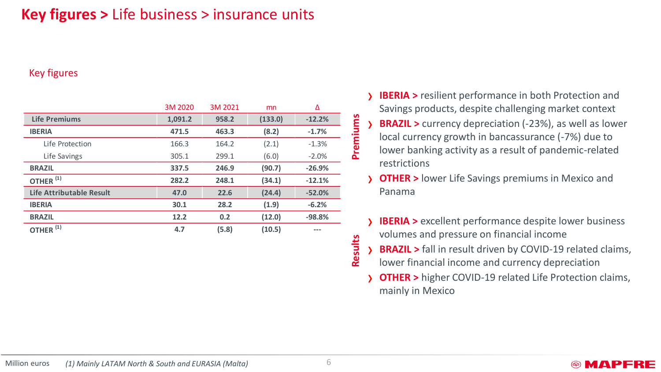### **Key figures >** Life business > insurance units

#### Key figures

|                                 | 3M 2020 | 3M 2021 | mn      | Δ        |          |
|---------------------------------|---------|---------|---------|----------|----------|
| <b>Life Premiums</b>            | 1,091.2 | 958.2   | (133.0) | $-12.2%$ |          |
| <b>IBERIA</b>                   | 471.5   | 463.3   | (8.2)   | $-1.7%$  | Premiums |
| Life Protection                 | 166.3   | 164.2   | (2.1)   | $-1.3%$  |          |
| Life Savings                    | 305.1   | 299.1   | (6.0)   | $-2.0%$  |          |
| <b>BRAZIL</b>                   | 337.5   | 246.9   | (90.7)  | $-26.9%$ |          |
| OTHER $(1)$                     | 282.2   | 248.1   | (34.1)  | $-12.1%$ |          |
| <b>Life Attributable Result</b> | 47.0    | 22.6    | (24.4)  | $-52.0%$ |          |
| <b>IBERIA</b>                   | 30.1    | 28.2    | (1.9)   | $-6.2%$  |          |
| <b>BRAZIL</b>                   | 12.2    | 0.2     | (12.0)  | $-98.8%$ |          |
| OTHER <sup>(1)</sup>            | 4.7     | (5.8)   | (10.5)  | ---      |          |
|                                 |         |         |         |          |          |
|                                 |         |         |         |          | Results  |
|                                 |         |         |         |          |          |

› **IBERIA >** resilient performance in both Protection and Savings products, despite challenging market context **BRAZIL** > currency depreciation (-23%), as well as lower local currency growth in bancassurance (-7%) due to lower banking activity as a result of pandemic-related restrictions

**OTHER >** lower Life Savings premiums in Mexico and Panama

- **IBERIA** > excellent performance despite lower business volumes and pressure on financial income
- **BRAZIL** > fall in result driven by COVID-19 related claims,
- lower financial income and currency depreciation
- **OTHER >** higher COVID-19 related Life Protection claims, mainly in Mexico

#### **©MAPFRE**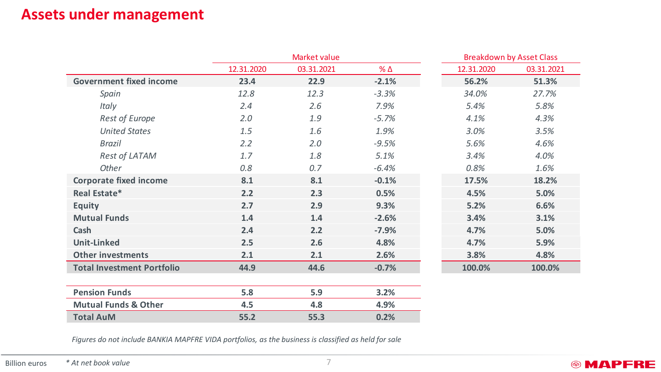### **Assets under management**

|                                   | Market value |            |            |            | <b>Breakdown by Asset Class</b> |
|-----------------------------------|--------------|------------|------------|------------|---------------------------------|
|                                   | 12.31.2020   | 03.31.2021 | <b>% Δ</b> | 12.31.2020 | 03.31.2021                      |
| <b>Government fixed income</b>    | 23.4         | 22.9       | $-2.1%$    | 56.2%      | 51.3%                           |
| Spain                             | 12.8         | 12.3       | $-3.3%$    | 34.0%      | 27.7%                           |
| Italy                             | 2.4          | 2.6        | 7.9%       | 5.4%       | 5.8%                            |
| <b>Rest of Europe</b>             | 2.0          | 1.9        | $-5.7%$    | 4.1%       | 4.3%                            |
| <b>United States</b>              | 1.5          | 1.6        | 1.9%       | 3.0%       | 3.5%                            |
| Brazil                            | 2.2          | 2.0        | $-9.5%$    | 5.6%       | 4.6%                            |
| Rest of LATAM                     | 1.7          | 1.8        | 5.1%       | 3.4%       | 4.0%                            |
| Other                             | 0.8          | 0.7        | $-6.4%$    | 0.8%       | 1.6%                            |
| <b>Corporate fixed income</b>     | 8.1          | 8.1        | $-0.1%$    | 17.5%      | 18.2%                           |
| Real Estate*                      | 2.2          | 2.3        | 0.5%       | 4.5%       | 5.0%                            |
| <b>Equity</b>                     | 2.7          | 2.9        | 9.3%       | 5.2%       | 6.6%                            |
| <b>Mutual Funds</b>               | 1.4          | 1.4        | $-2.6%$    | 3.4%       | 3.1%                            |
| Cash                              | 2.4          | 2.2        | $-7.9%$    | 4.7%       | 5.0%                            |
| <b>Unit-Linked</b>                | 2.5          | 2.6        | 4.8%       | 4.7%       | 5.9%                            |
| <b>Other investments</b>          | 2.1          | 2.1        | 2.6%       | 3.8%       | 4.8%                            |
| <b>Total Investment Portfolio</b> | 44.9         | 44.6       | $-0.7%$    | 100.0%     | 100.0%                          |
|                                   |              |            |            |            |                                 |
| <b>Pension Funds</b>              | 5.8          | 5.9        | 3.2%       |            |                                 |
| <b>Mutual Funds &amp; Other</b>   | 4.5          | 4.8        | 4.9%       |            |                                 |
| <b>Total AuM</b>                  | 55.2         | 55.3       | 0.2%       |            |                                 |

*Figures do not include BANKIA MAPFRE VIDA portfolios, as the business is classified as held for sale*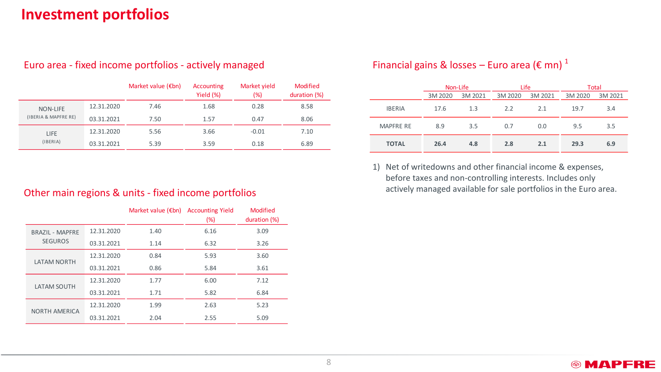### **Investment portfolios**

|                      |            | Market value $(\epsilon$ bn) | Accounting<br>Yield (%) | Market yield<br>(%) | <b>Modified</b><br>duration (%) |
|----------------------|------------|------------------------------|-------------------------|---------------------|---------------------------------|
| NON-LIFE             | 12.31.2020 | 7.46                         | 1.68                    | 0.28                | 8.58                            |
| (IBERIA & MAPFRE RE) | 03.31.2021 | 7.50                         | 1.57                    | 0.47                | 8.06                            |
| LIFE                 | 12.31.2020 | 5.56                         | 3.66                    | $-0.01$             | 7.10                            |
| (IBERIA)             | 03.31.2021 | 5.39                         | 3.59                    | 0.18                | 6.89                            |

#### Euro area - fixed income portfolios - actively managed

### Financial gains & losses – Euro area ( $\epsilon$  mn)<sup>1</sup>

|                  |         | Non-Life | Life    |         | Total   |         |
|------------------|---------|----------|---------|---------|---------|---------|
|                  | 3M 2020 | 3M 2021  | 3M 2020 | 3M 2021 | 3M 2020 | 3M 2021 |
| <b>IBERIA</b>    | 17.6    | 1.3      | 2.2     | 2.1     | 19.7    | 3.4     |
| <b>MAPFRE RE</b> | 8.9     | 3.5      | 0.7     | 0.0     | 9.5     | 3.5     |
| <b>TOTAL</b>     | 26.4    | 4.8      | 2.8     | 2.1     | 29.3    | 6.9     |

1) Net of writedowns and other financial income & expenses, before taxes and non-controlling interests. Includes only actively managed available for sale portfolios in the Euro area. Other main regions & units - fixed income portfolios

|                        |            | Market value $(\epsilon$ bn) | <b>Accounting Yield</b><br>$(\%)$ | Modified<br>duration (%) |
|------------------------|------------|------------------------------|-----------------------------------|--------------------------|
| <b>BRAZIL - MAPFRE</b> | 12.31.2020 | 1.40                         | 6.16                              | 3.09                     |
| <b>SEGUROS</b>         | 03.31.2021 | 1.14                         | 6.32                              | 3.26                     |
|                        | 12.31.2020 | 0.84                         | 5.93                              | 3.60                     |
| <b>LATAM NORTH</b>     | 03.31.2021 | 0.86                         | 5.84                              | 3.61                     |
|                        | 12.31.2020 | 1.77                         | 6.00                              | 7.12                     |
| <b>LATAM SOUTH</b>     | 03.31.2021 | 1.71                         | 5.82                              | 6.84                     |
| <b>NORTH AMERICA</b>   | 12.31.2020 | 1.99                         | 2.63                              | 5.23                     |
|                        | 03.31.2021 | 2.04                         | 2.55                              | 5.09                     |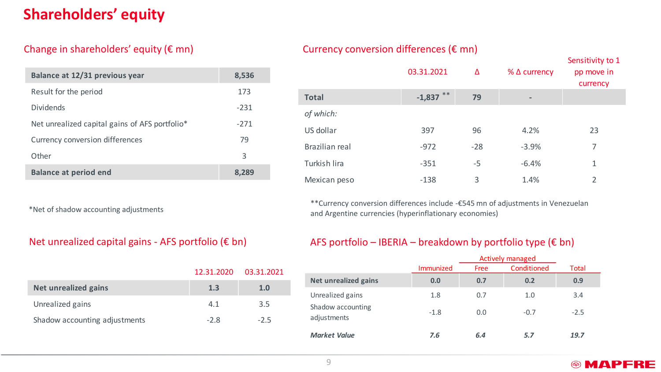### **Shareholders' equity**

#### Change in shareholders' equity  $(\epsilon \text{mn})$

| Balance at 12/31 previous year                 | 8,536  |
|------------------------------------------------|--------|
| Result for the period                          | 173    |
| <b>Dividends</b>                               | $-231$ |
| Net unrealized capital gains of AFS portfolio* | $-271$ |
| Currency conversion differences                | 79     |
| Other                                          | 3      |
| <b>Balance at period end</b>                   |        |

\*Net of shadow accounting adjustments

|                               | 12.31.2020 | 03.31.2021 |
|-------------------------------|------------|------------|
| Net unrealized gains          | 1.3        | 1.0        |
| Unrealized gains              | 41         | 3.5        |
| Shadow accounting adjustments | -28        | -25        |

#### Currency conversion differences ( $\varepsilon$  mn)

|                | 03.31.2021  | Δ     | $%$ $\Delta$ currency | Sensitivity to 1<br>pp move in<br>currency |
|----------------|-------------|-------|-----------------------|--------------------------------------------|
| <b>Total</b>   | $-1,837$ ** | 79    |                       |                                            |
| of which:      |             |       |                       |                                            |
| US dollar      | 397         | 96    | 4.2%                  | 23                                         |
| Brazilian real | $-972$      | $-28$ | $-3.9%$               | 7                                          |
| Turkish lira   | $-351$      | -5    | $-6.4%$               | 1                                          |
| Mexican peso   | $-138$      | 3     | 1.4%                  | $\overline{2}$                             |

\*\*Currency conversion differences include -€545 mn of adjustments in Venezuelan and Argentine currencies (hyperinflationary economies)

#### Net unrealized capital gains - AFS portfolio (€ bn) AFS portfolio – IBERIA – breakdown by portfolio type (€ bn)

|                                  | <b>Actively managed</b> |             |             |        |  |
|----------------------------------|-------------------------|-------------|-------------|--------|--|
|                                  | Immunized               | <b>Free</b> | Conditioned | Total  |  |
| Net unrealized gains             | 0.0                     | 0.7         | 0.2         | 0.9    |  |
| Unrealized gains                 | 1.8                     | 0.7         | 1.0         | 3.4    |  |
| Shadow accounting<br>adjustments | $-1.8$                  | 0.0         | $-0.7$      | $-2.5$ |  |
| <b>Market Value</b>              | 7.6                     | 6.4         | 5.7         | 19.7   |  |

#### **<sup><sup>®</sup>** MAPFRE</sub></sup>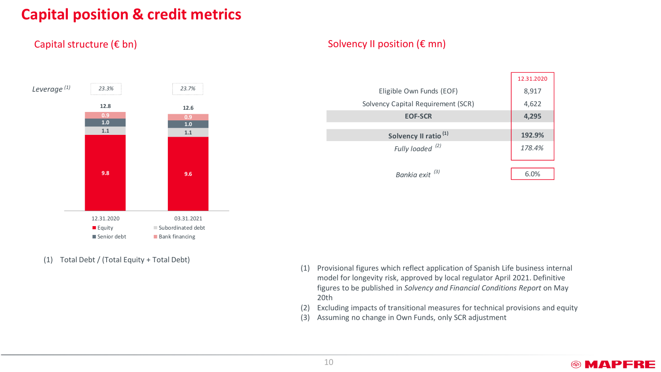### **Capital position & credit metrics**

#### Capital structure (€ bn)



(1) Total Debt / (Total Equity + Total Debt)

#### Solvency II position (€ mn)

|                                    | 12.31.2020 |
|------------------------------------|------------|
| Eligible Own Funds (EOF)           | 8,917      |
| Solvency Capital Requirement (SCR) | 4,622      |
| <b>EOF-SCR</b>                     | 4,295      |
|                                    |            |
| Solvency II ratio <sup>(1)</sup>   | 192.9%     |
| Fully loaded <sup>(2)</sup>        | 178.4%     |
|                                    |            |
| Bankia exit <sup>(3)</sup>         | 6.0%       |

- (1) Provisional figures which reflect application of Spanish Life business internal model for longevity risk, approved by local regulator April 2021. Definitive figures to be published in *Solvency and Financial Conditions Report* on May 20th
- (2) Excluding impacts of transitional measures for technical provisions and equity
- (3) Assuming no change in Own Funds, only SCR adjustment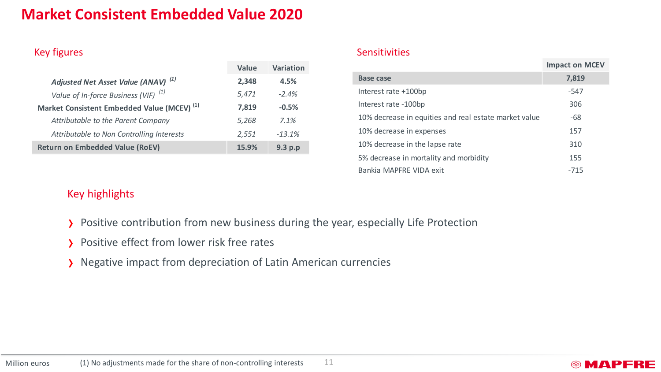### **Market Consistent Embedded Value 2020**

|                                                        | Value | Variation |
|--------------------------------------------------------|-------|-----------|
| Adjusted Net Asset Value (ANAV) <sup>(1)</sup>         | 2.348 | 4.5%      |
| Value of In-force Business (VIF) $(1)$                 | 5,471 | $-2.4%$   |
| Market Consistent Embedded Value (MCEV) <sup>(1)</sup> | 7,819 | $-0.5%$   |
| Attributable to the Parent Company                     | 5,268 | 7.1%      |
| Attributable to Non Controlling Interests              | 2,551 | $-13.1%$  |
| <b>Return on Embedded Value (RoEV)</b>                 | 15.9% | 9.3 p.p   |

#### Key figures Sensitivities Sensitivities Sensitivities Sensitivities Sensitivities

|                                                       | <b>Impact on MCEV</b> |
|-------------------------------------------------------|-----------------------|
| Base case                                             | 7,819                 |
| Interest rate +100bp                                  | -547                  |
| Interest rate -100bp                                  | 306                   |
| 10% decrease in equities and real estate market value | $-68$                 |
| 10% decrease in expenses                              | 157                   |
| 10% decrease in the lapse rate                        | 310                   |
| 5% decrease in mortality and morbidity                | 155                   |
| Bankia MAPFRF VIDA exit                               | $-715$                |

### Key highlights

- › Positive contribution from new business during the year, especially Life Protection
- › Positive effect from lower risk free rates
- › Negative impact from depreciation of Latin American currencies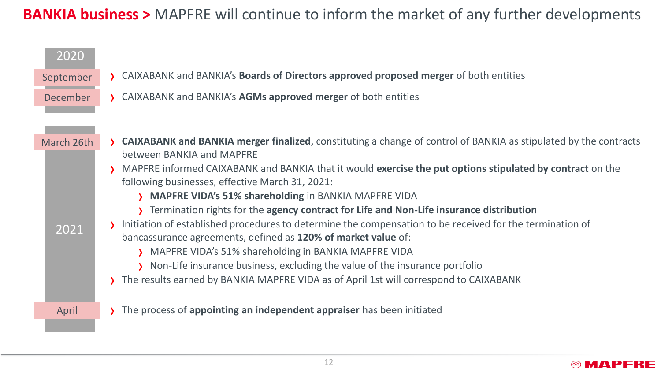## **BANKIA business >** MAPFRE will continue to inform the market of any further developments

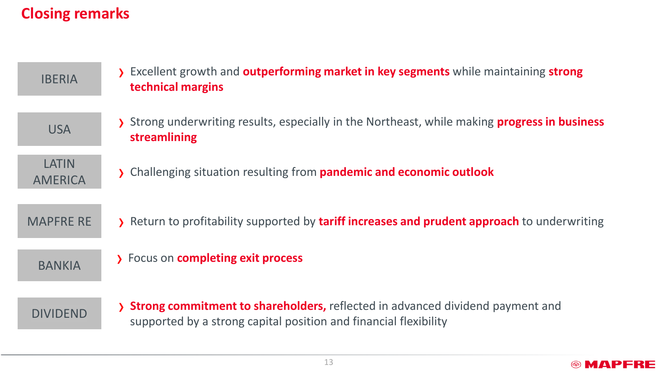## **Closing remarks**

| <b>IBERIA</b>                  | > Excellent growth and <b>outperforming market in key segments</b> while maintaining <b>strong</b><br>technical margins                             |
|--------------------------------|-----------------------------------------------------------------------------------------------------------------------------------------------------|
| <b>USA</b>                     | > Strong underwriting results, especially in the Northeast, while making progress in business<br>streamlining                                       |
| <b>LATIN</b><br><b>AMERICA</b> | > Challenging situation resulting from pandemic and economic outlook                                                                                |
| <b>MAPFRE RE</b>               | > Return to profitability supported by tariff increases and prudent approach to underwriting                                                        |
| <b>BANKIA</b>                  | > Focus on completing exit process                                                                                                                  |
| <b>DIVIDEND</b>                | > Strong commitment to shareholders, reflected in advanced dividend payment and<br>supported by a strong capital position and financial flexibility |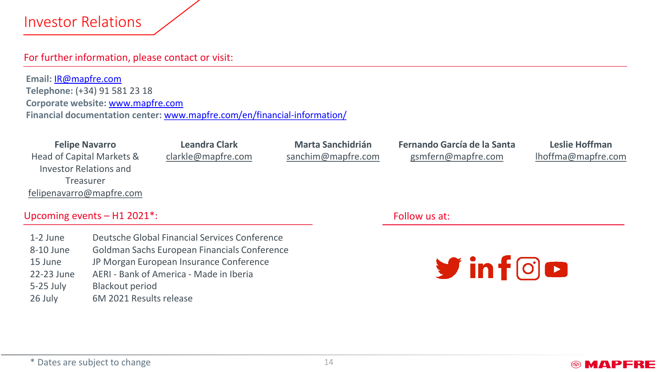### Investor Relations

#### For further information, please contact or visit:

**Email:** [IR@mapfre.com](mailto:IR@mapfre.com) **Telephone:** (+34) 91 581 23 18 **Corporate website:** [www.mapfre.com](https://www.mapfre.com/en/) **Financial documentation center:** [www.mapfre.com/en/financial-information/](http://www.mapfre.com/en/financial-information/)

**Felipe Navarro** Head of Capital Markets & Investor Relations and Treasurer [felipenavarro@mapfre.com](mailto:felipenavarro@mapfre.com)

**Leandra Clark** [clarkle@mapfre.com](mailto:clarkle@mapfre.com)

**Marta Sanchidrián** [sanchim@mapfre.com](mailto:sanchim@mapfre.com) **Fernando García de la Santa**  [gsmfern@mapfre.com](mailto:gsmfern@mapfre.com)

**Leslie Hoffman** [lhoffma@mapfre.com](mailto:lhoffma@mapfre.com)

® MAPFRE

#### Upcoming events – H1 2021\*:

1-2 June 8-10 June 15 June 22-23 June 5-25 July 26 July Deutsche Global Financial Services Conference Goldman Sachs European Financials Conference JP Morgan European Insurance Conference AERI - Bank of America - Made in Iberia Blackout period 6M 2021 Results release

Follow us at:

 $\blacktriangleright$  in form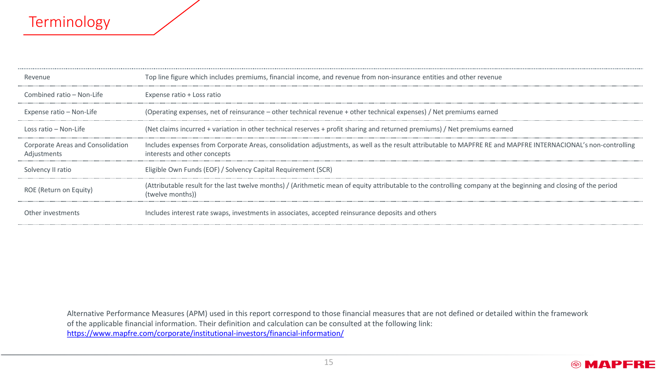### **Terminology**

| Revenue                                                 | Top line figure which includes premiums, financial income, and revenue from non-insurance entities and other revenue                                                                          |
|---------------------------------------------------------|-----------------------------------------------------------------------------------------------------------------------------------------------------------------------------------------------|
| Combined ratio - Non-Life                               | Expense ratio + Loss ratio                                                                                                                                                                    |
| Expense ratio – Non-Life                                | (Operating expenses, net of reinsurance – other technical revenue + other technical expenses) / Net premiums earned                                                                           |
| Loss ratio – Non-Life                                   | (Net claims incurred + variation in other technical reserves + profit sharing and returned premiums) / Net premiums earned                                                                    |
| <b>Corporate Areas and Consolidation</b><br>Adjustments | Includes expenses from Corporate Areas, consolidation adjustments, as well as the result attributable to MAPFRE RE and MAPFRE INTERNACIONAL's non-controlling<br>interests and other concepts |
| Solvency II ratio                                       | Eligible Own Funds (EOF) / Solvency Capital Requirement (SCR)                                                                                                                                 |
| ROE (Return on Equity)                                  | (Attributable result for the last twelve months) / (Arithmetic mean of equity attributable to the controlling company at the beginning and closing of the period<br>(twelve months))          |
| Other investments                                       | Includes interest rate swaps, investments in associates, accepted reinsurance deposits and others                                                                                             |

Alternative Performance Measures (APM) used in this report correspond to those financial measures that are not defined or detailed within the framework of the applicable financial information. Their definition and calculation can be consulted at the following link: <https://www.mapfre.com/corporate/institutional-investors/financial-information/>

#### **@MAPFRE**